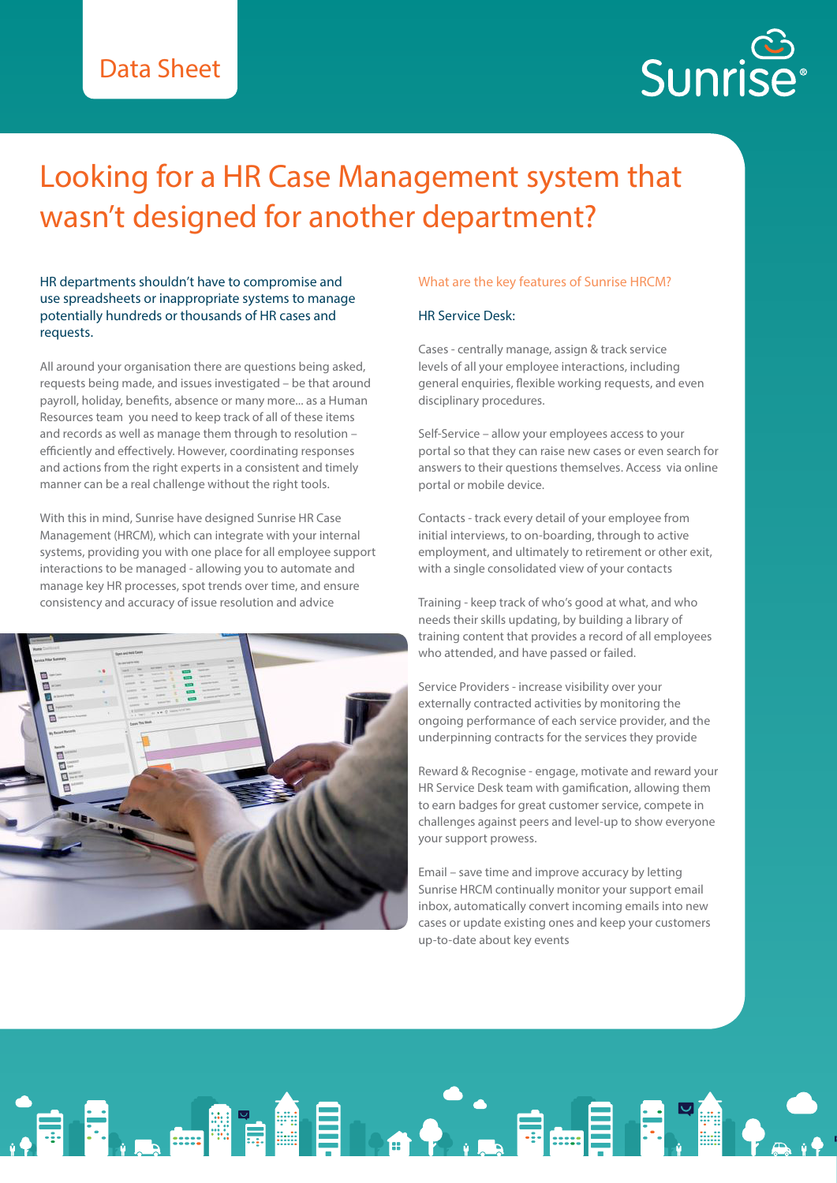## Data Sheet

# نې<br>Sunrise

## Looking for a HR Case Management system that wasn't designed for another department?

HR departments shouldn't have to compromise and use spreadsheets or inappropriate systems to manage potentially hundreds or thousands of HR cases and requests.

All around your organisation there are questions being asked, requests being made, and issues investigated – be that around payroll, holiday, benefits, absence or many more... as a Human Resources team you need to keep track of all of these items and records as well as manage them through to resolution – efficiently and effectively. However, coordinating responses and actions from the right experts in a consistent and timely manner can be a real challenge without the right tools.

With this in mind, Sunrise have designed Sunrise HR Case Management (HRCM), which can integrate with your internal systems, providing you with one place for all employee support interactions to be managed - allowing you to automate and manage key HR processes, spot trends over time, and ensure consistency and accuracy of issue resolution and advice



#### What are the key features of Sunrise HRCM?

### HR Service Desk:

Cases - centrally manage, assign & track service levels of all your employee interactions, including general enquiries, flexible working requests, and even disciplinary procedures.

Self-Service – allow your employees access to your portal so that they can raise new cases or even search for answers to their questions themselves. Access via online portal or mobile device.

Contacts - track every detail of your employee from initial interviews, to on-boarding, through to active employment, and ultimately to retirement or other exit, with a single consolidated view of your contacts

Training - keep track of who's good at what, and who needs their skills updating, by building a library of training content that provides a record of all employees who attended, and have passed or failed.

Service Providers - increase visibility over your externally contracted activities by monitoring the ongoing performance of each service provider, and the underpinning contracts for the services they provide

Reward & Recognise - engage, motivate and reward your HR Service Desk team with gamification, allowing them to earn badges for great customer service, compete in challenges against peers and level-up to show everyone your support prowess.

Email – save time and improve accuracy by letting Sunrise HRCM continually monitor your support email inbox, automatically convert incoming emails into new cases or update existing ones and keep your customers up-to-date about key events

**ORDEN HOLD OF BULLET FRAME REAL PROPERTY.**